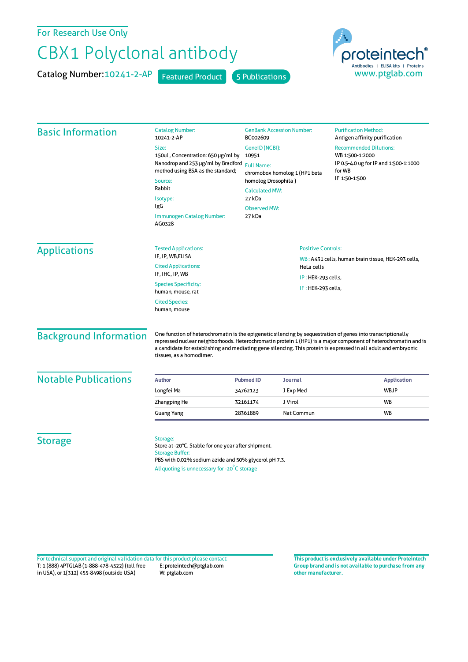For Research Use Only

## CBX1 Polyclonal antibody

Catalog Number: 10241-2-AP Featured Product 5 Publications



| <b>Basic Information</b>      | <b>Catalog Number:</b><br>10241-2-AP                                                                                                                                                             | <b>GenBank Accession Number:</b><br><b>Purification Method:</b><br>BC002609<br>Antigen affinity purification<br>GeneID (NCBI):<br><b>Recommended Dilutions:</b><br>WB 1:500-1:2000<br>10951<br><b>Full Name:</b><br>for WB<br>chromobox homolog 1 (HP1 beta<br>IF 1:50-1:500<br>homolog Drosophila)<br><b>Calculated MW:</b><br>27 kDa<br><b>Observed MW:</b><br>27 kDa |                |                                                    |  |
|-------------------------------|--------------------------------------------------------------------------------------------------------------------------------------------------------------------------------------------------|-------------------------------------------------------------------------------------------------------------------------------------------------------------------------------------------------------------------------------------------------------------------------------------------------------------------------------------------------------------------------|----------------|----------------------------------------------------|--|
|                               | Size:<br>150ul, Concentration: 650 µg/ml by<br>Nanodrop and 253 µg/ml by Bradford<br>method using BSA as the standard;<br>Source:<br>Rabbit                                                      |                                                                                                                                                                                                                                                                                                                                                                         |                | IP 0.5-4.0 ug for IP and 1:500-1:1000              |  |
|                               | Isotype:<br>IgG<br><b>Immunogen Catalog Number:</b><br>AG0328                                                                                                                                    |                                                                                                                                                                                                                                                                                                                                                                         |                |                                                    |  |
| <b>Applications</b>           | <b>Tested Applications:</b><br>IF, IP, WB, ELISA                                                                                                                                                 | <b>Positive Controls:</b><br>HeLa cells<br>IP: HEK-293 cells,<br>IF: HEK-293 cells,                                                                                                                                                                                                                                                                                     |                | WB: A431 cells, human brain tissue, HEK-293 cells, |  |
|                               | <b>Cited Applications:</b><br>IF, IHC, IP, WB                                                                                                                                                    |                                                                                                                                                                                                                                                                                                                                                                         |                |                                                    |  |
|                               | <b>Species Specificity:</b><br>human, mouse, rat                                                                                                                                                 |                                                                                                                                                                                                                                                                                                                                                                         |                |                                                    |  |
|                               | <b>Cited Species:</b><br>human, mouse                                                                                                                                                            |                                                                                                                                                                                                                                                                                                                                                                         |                |                                                    |  |
| <b>Background Information</b> | tissues, as a homodimer.                                                                                                                                                                         | One function of heterochromatin is the epigenetic silencing by sequestration of genes into transcriptionally<br>repressed nuclear neighborhoods. Heterochromatin protein 1 (HP1) is a major component of heterochromatin and is<br>a candidate for establishing and mediating gene silencing. This protein is expressed in all adult and embryonic                      |                |                                                    |  |
| <b>Notable Publications</b>   | <b>Author</b>                                                                                                                                                                                    | <b>Pubmed ID</b>                                                                                                                                                                                                                                                                                                                                                        | <b>Journal</b> | <b>Application</b>                                 |  |
|                               | Longfei Ma                                                                                                                                                                                       | 34762123                                                                                                                                                                                                                                                                                                                                                                | J Exp Med      | WB, IP                                             |  |
|                               | Zhangping He                                                                                                                                                                                     | 32161174                                                                                                                                                                                                                                                                                                                                                                | J Virol        | <b>WB</b>                                          |  |
|                               | Guang Yang                                                                                                                                                                                       | 28361889                                                                                                                                                                                                                                                                                                                                                                | Nat Commun     | WB                                                 |  |
| <b>Storage</b>                | Storage:<br>Store at -20°C. Stable for one year after shipment.<br><b>Storage Buffer:</b><br>PBS with 0.02% sodium azide and 50% glycerol pH 7.3.<br>Aliquoting is unnecessary for -20°C storage |                                                                                                                                                                                                                                                                                                                                                                         |                |                                                    |  |

T: 1 (888) 4PTGLAB (1-888-478-4522) (toll free in USA), or 1(312) 455-8498 (outside USA) E: proteintech@ptglab.com W: ptglab.com Fortechnical support and original validation data forthis product please contact: **This productis exclusively available under Proteintech**

**Group brand and is not available to purchase from any other manufacturer.**